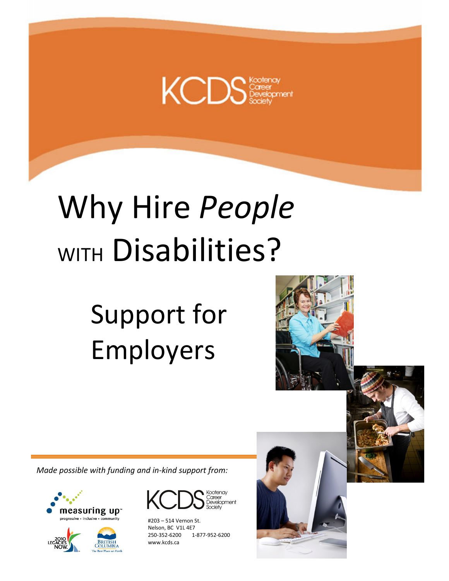

# Why Hire People WITH Disabilities?

## Support for Employers



Made possible with funding and in-kind support from:





Nelson, BC V1L 4E7 250-352-6200 www.kcds.ca www.kcds.ca #203 – 514 Vernon St. 250-352-6200 1-877-952-6200

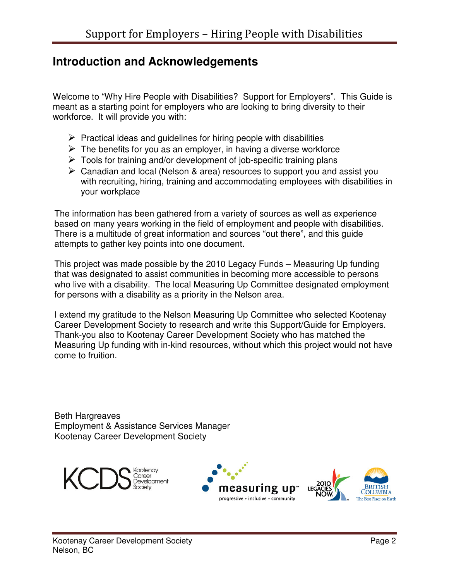## **Introduction and Acknowledgements**

Welcome to "Why Hire People with Disabilities? Support for Employers". This Guide is meant as a starting point for employers who are looking to bring diversity to their workforce. It will provide you with:

- $\triangleright$  Practical ideas and guidelines for hiring people with disabilities
- $\triangleright$  The benefits for you as an employer, in having a diverse workforce
- $\triangleright$  Tools for training and/or development of job-specific training plans
- $\triangleright$  Canadian and local (Nelson & area) resources to support you and assist you with recruiting, hiring, training and accommodating employees with disabilities in your workplace

The information has been gathered from a variety of sources as well as experience based on many years working in the field of employment and people with disabilities. There is a multitude of great information and sources "out there", and this guide attempts to gather key points into one document.

This project was made possible by the 2010 Legacy Funds – Measuring Up funding that was designated to assist communities in becoming more accessible to persons who live with a disability. The local Measuring Up Committee designated employment for persons with a disability as a priority in the Nelson area.

I extend my gratitude to the Nelson Measuring Up Committee who selected Kootenay Career Development Society to research and write this Support/Guide for Employers. Thank-you also to Kootenay Career Development Society who has matched the Measuring Up funding with in-kind resources, without which this project would not have come to fruition.

Beth Hargreaves Employment & Assistance Services Manager Kootenay Career Development Society



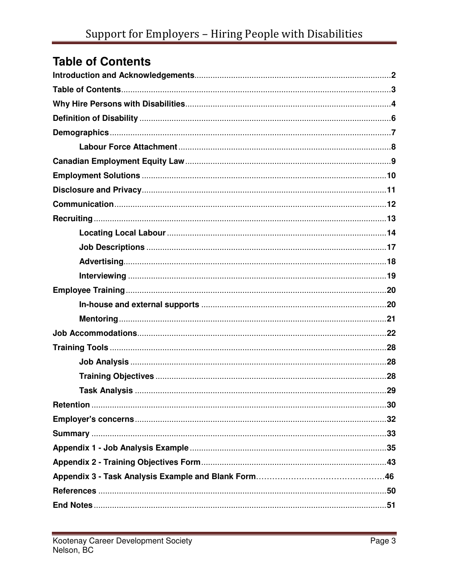## **Table of Contents**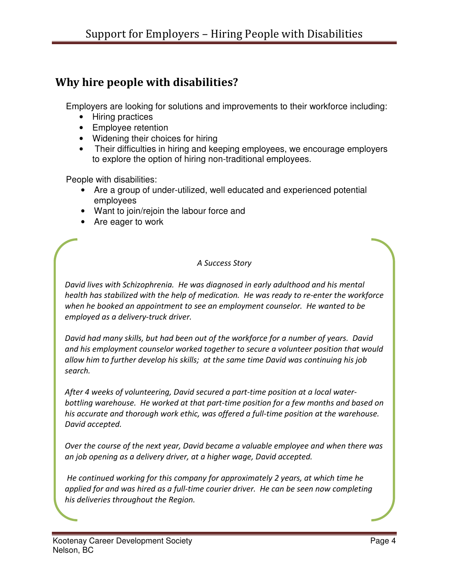## Why hire people with disabilities?

Employers are looking for solutions and improvements to their workforce including:

- Hiring practices
- Employee retention
- Widening their choices for hiring
- Their difficulties in hiring and keeping employees, we encourage employers to explore the option of hiring non-traditional employees.

People with disabilities:

- Are a group of under-utilized, well educated and experienced potential employees
- Want to join/rejoin the labour force and
- Are eager to work

#### A Success Story

David lives with Schizophrenia. He was diagnosed in early adulthood and his mental health has stabilized with the help of medication. He was ready to re-enter the workforce when he booked an appointment to see an employment counselor. He wanted to be employed as a delivery-truck driver.

David had many skills, but had been out of the workforce for a number of years. David and his employment counselor worked together to secure a volunteer position that would allow him to further develop his skills; at the same time David was continuing his job search.

After 4 weeks of volunteering, David secured a part-time position at a local waterbottling warehouse. He worked at that part-time position for a few months and based on his accurate and thorough work ethic, was offered a full-time position at the warehouse. David accepted.

Over the course of the next year, David became a valuable employee and when there was an job opening as a delivery driver, at a higher wage, David accepted.

 He continued working for this company for approximately 2 years, at which time he applied for and was hired as a full-time courier driver. He can be seen now completing his deliveries throughout the Region.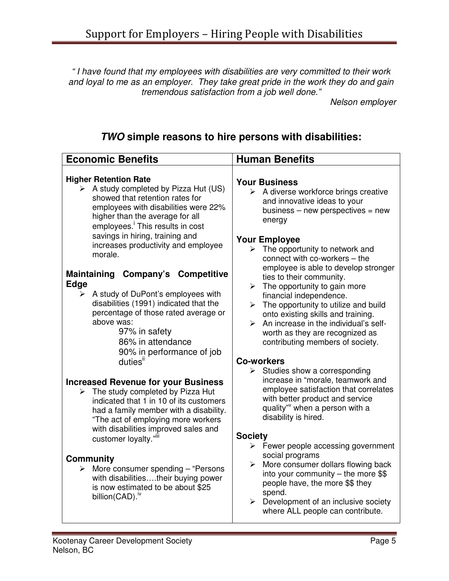" I have found that my employees with disabilities are very committed to their work and loyal to me as an employer. They take great pride in the work they do and gain tremendous satisfaction from a job well done."

Nelson employer

## **TWO simple reasons to hire persons with disabilities:**

| <b>Economic Benefits</b>                                                                                                                                                                                                                                                                                                                                                                                                                                                                                                                                                                                                                                                                                                                                                                                                                                                                                                                                                                                                          | <b>Human Benefits</b>                                                                                                                                                                                                                                                                                                                                                                                                                                                                                                                                                                                                                                                                                                                                                                                                                                                                                                                                                                                                                                                                                                  |
|-----------------------------------------------------------------------------------------------------------------------------------------------------------------------------------------------------------------------------------------------------------------------------------------------------------------------------------------------------------------------------------------------------------------------------------------------------------------------------------------------------------------------------------------------------------------------------------------------------------------------------------------------------------------------------------------------------------------------------------------------------------------------------------------------------------------------------------------------------------------------------------------------------------------------------------------------------------------------------------------------------------------------------------|------------------------------------------------------------------------------------------------------------------------------------------------------------------------------------------------------------------------------------------------------------------------------------------------------------------------------------------------------------------------------------------------------------------------------------------------------------------------------------------------------------------------------------------------------------------------------------------------------------------------------------------------------------------------------------------------------------------------------------------------------------------------------------------------------------------------------------------------------------------------------------------------------------------------------------------------------------------------------------------------------------------------------------------------------------------------------------------------------------------------|
| <b>Higher Retention Rate</b><br>$\triangleright$ A study completed by Pizza Hut (US)<br>showed that retention rates for<br>employees with disabilities were 22%<br>higher than the average for all<br>employees. This results in cost<br>savings in hiring, training and<br>increases productivity and employee<br>morale.<br>Maintaining Company's<br><b>Competitive</b><br><b>Edge</b><br>A study of DuPont's employees with<br>➤<br>disabilities (1991) indicated that the<br>percentage of those rated average or<br>above was:<br>97% in safety<br>86% in attendance<br>90% in performance of job<br>duties <sup>ii</sup><br><b>Increased Revenue for your Business</b><br>The study completed by Pizza Hut<br>≻<br>indicated that 1 in 10 of its customers<br>had a family member with a disability.<br>"The act of employing more workers<br>with disabilities improved sales and<br>customer loyalty.""<br><b>Community</b><br>$\triangleright$ More consumer spending – "Persons"<br>with disabilitiestheir buying power | <b>Your Business</b><br>$\triangleright$ A diverse workforce brings creative<br>and innovative ideas to your<br>business $-$ new perspectives $=$ new<br>energy<br><b>Your Employee</b><br>$\triangleright$ The opportunity to network and<br>connect with co-workers - the<br>employee is able to develop stronger<br>ties to their community.<br>$\triangleright$ The opportunity to gain more<br>financial independence.<br>$\triangleright$ The opportunity to utilize and build<br>onto existing skills and training.<br>An increase in the individual's self-<br>$\blacktriangleright$<br>worth as they are recognized as<br>contributing members of society.<br><b>Co-workers</b><br>$\triangleright$ Studies show a corresponding<br>increase in "morale, teamwork and<br>employee satisfaction that correlates<br>with better product and service<br>quality" when a person with a<br>disability is hired.<br><b>Society</b><br>$\triangleright$ Fewer people accessing government<br>social programs<br>More consumer dollars flowing back<br>$\blacktriangleright$<br>into your community $-$ the more \$\$ |
| is now estimated to be about \$25<br>billion(CAD). <sup>iv</sup>                                                                                                                                                                                                                                                                                                                                                                                                                                                                                                                                                                                                                                                                                                                                                                                                                                                                                                                                                                  | people have, the more \$\$ they<br>spend.<br>$\triangleright$ Development of an inclusive society<br>where ALL people can contribute.                                                                                                                                                                                                                                                                                                                                                                                                                                                                                                                                                                                                                                                                                                                                                                                                                                                                                                                                                                                  |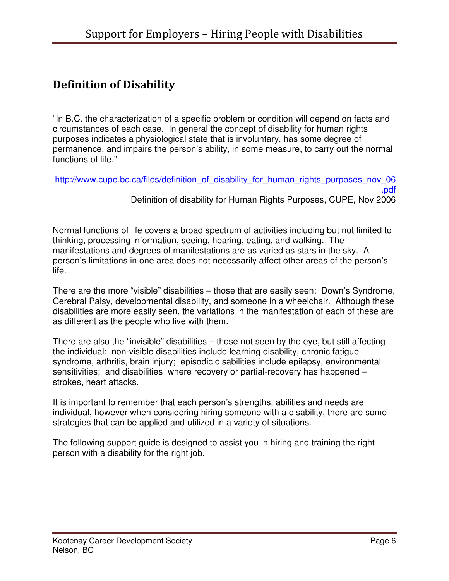## Definition of Disability

"In B.C. the characterization of a specific problem or condition will depend on facts and circumstances of each case. In general the concept of disability for human rights purposes indicates a physiological state that is involuntary, has some degree of permanence, and impairs the person's ability, in some measure, to carry out the normal functions of life."

http://www.cupe.bc.ca/files/definition\_of\_disability\_for\_human\_rights\_purposes\_nov\_06 .pdf Definition of disability for Human Rights Purposes, CUPE, Nov 2006

Normal functions of life covers a broad spectrum of activities including but not limited to thinking, processing information, seeing, hearing, eating, and walking. The manifestations and degrees of manifestations are as varied as stars in the sky. A person's limitations in one area does not necessarily affect other areas of the person's life.

There are the more "visible" disabilities – those that are easily seen: Down's Syndrome, Cerebral Palsy, developmental disability, and someone in a wheelchair. Although these disabilities are more easily seen, the variations in the manifestation of each of these are as different as the people who live with them.

There are also the "invisible" disabilities – those not seen by the eye, but still affecting the individual: non-visible disabilities include learning disability, chronic fatigue syndrome, arthritis, brain injury; episodic disabilities include epilepsy, environmental sensitivities; and disabilities where recovery or partial-recovery has happened – strokes, heart attacks.

It is important to remember that each person's strengths, abilities and needs are individual, however when considering hiring someone with a disability, there are some strategies that can be applied and utilized in a variety of situations.

The following support guide is designed to assist you in hiring and training the right person with a disability for the right job.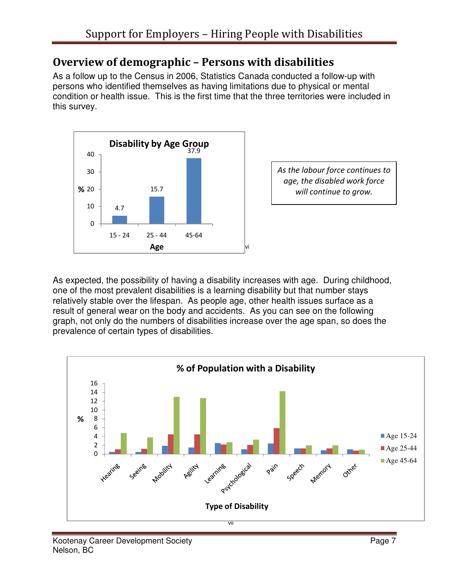## Overview of demographic – Persons with disabilities

As a follow up to the Census in 2006, Statistics Canada conducted a follow-up with persons who identified themselves as having limitations due to physical or mental condition or health issue. This is the first time that the three territories were included in this survey.



As the labour force continues to age, the disabled work force will continue to grow.

As expected, the possibility of having a disability increases with age. During childhood, one of the most prevalent disabilities is a learning disability but that number stays relatively stable over the lifespan. As people age, other health issues surface as a result of general wear on the body and accidents. As you can see on the following graph, not only do the numbers of disabilities increase over the age span, so does the prevalence of certain types of disabilities.

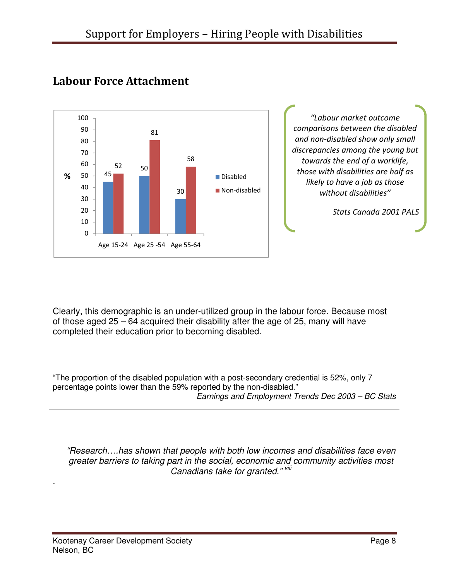

## Labour Force Attachment

Clearly, this demographic is an under-utilized group in the labour force. Because most of those aged 25 – 64 acquired their disability after the age of 25, many will have completed their education prior to becoming disabled.

"The proportion of the disabled population with a post-secondary credential is 52%, only 7 percentage points lower than the 59% reported by the non-disabled." Earnings and Employment Trends Dec 2003 – BC Stats

"Research….has shown that people with both low incomes and disabilities face even greater barriers to taking part in the social, economic and community activities most Canadians take for granted." Vill

.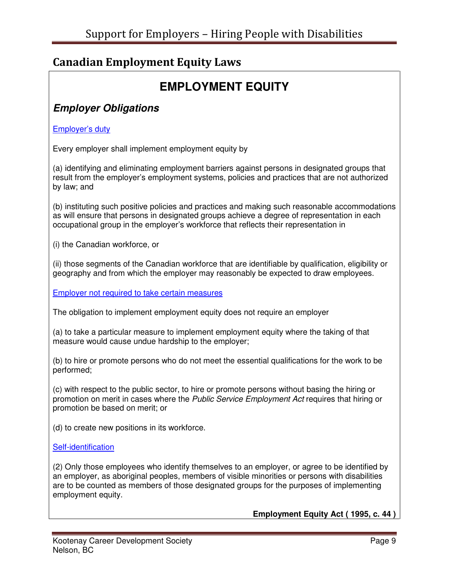## Canadian Employment Equity Laws

## **EMPLOYMENT EQUITY**

## **Employer Obligations**

#### Employer's duty

Every employer shall implement employment equity by

(a) identifying and eliminating employment barriers against persons in designated groups that result from the employer's employment systems, policies and practices that are not authorized by law; and

(b) instituting such positive policies and practices and making such reasonable accommodations as will ensure that persons in designated groups achieve a degree of representation in each occupational group in the employer's workforce that reflects their representation in

(i) the Canadian workforce, or

(ii) those segments of the Canadian workforce that are identifiable by qualification, eligibility or geography and from which the employer may reasonably be expected to draw employees.

Employer not required to take certain measures

The obligation to implement employment equity does not require an employer

(a) to take a particular measure to implement employment equity where the taking of that measure would cause undue hardship to the employer;

(b) to hire or promote persons who do not meet the essential qualifications for the work to be performed;

(c) with respect to the public sector, to hire or promote persons without basing the hiring or promotion on merit in cases where the Public Service Employment Act requires that hiring or promotion be based on merit; or

(d) to create new positions in its workforce.

#### Self-identification

(2) Only those employees who identify themselves to an employer, or agree to be identified by an employer, as aboriginal peoples, members of visible minorities or persons with disabilities are to be counted as members of those designated groups for the purposes of implementing employment equity.

**Employment Equity Act ( 1995, c. 44 )**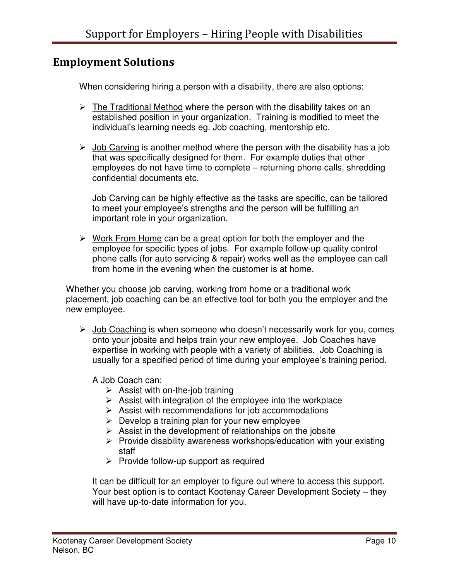## Employment Solutions

When considering hiring a person with a disability, there are also options:

- $\triangleright$  The Traditional Method where the person with the disability takes on an established position in your organization. Training is modified to meet the individual's learning needs eg. Job coaching, mentorship etc.
- $\triangleright$  Job Carving is another method where the person with the disability has a job that was specifically designed for them. For example duties that other employees do not have time to complete – returning phone calls, shredding confidential documents etc.

Job Carving can be highly effective as the tasks are specific, can be tailored to meet your employee's strengths and the person will be fulfilling an important role in your organization.

 $\triangleright$  Work From Home can be a great option for both the employer and the employee for specific types of jobs. For example follow-up quality control phone calls (for auto servicing & repair) works well as the employee can call from home in the evening when the customer is at home.

Whether you choose job carving, working from home or a traditional work placement, job coaching can be an effective tool for both you the employer and the new employee.

 $\triangleright$  Job Coaching is when someone who doesn't necessarily work for you, comes onto your jobsite and helps train your new employee. Job Coaches have expertise in working with people with a variety of abilities. Job Coaching is usually for a specified period of time during your employee's training period.

A Job Coach can:

- $\triangleright$  Assist with on-the-job training
- $\triangleright$  Assist with integration of the employee into the workplace
- $\triangleright$  Assist with recommendations for job accommodations
- $\triangleright$  Develop a training plan for your new employee
- $\triangleright$  Assist in the development of relationships on the jobsite
- $\triangleright$  Provide disability awareness workshops/education with your existing staff
- $\triangleright$  Provide follow-up support as required

It can be difficult for an employer to figure out where to access this support. Your best option is to contact Kootenay Career Development Society – they will have up-to-date information for you.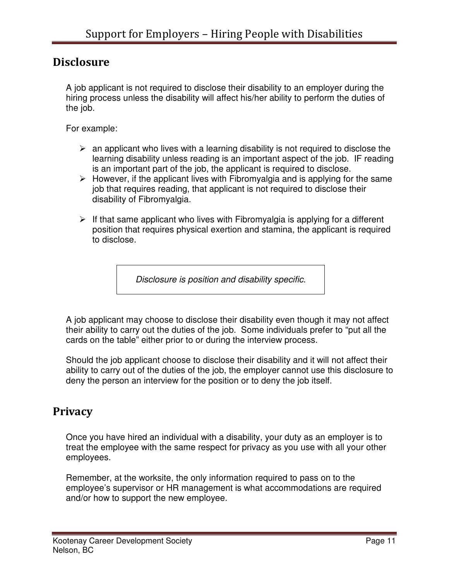## **Disclosure**

A job applicant is not required to disclose their disability to an employer during the hiring process unless the disability will affect his/her ability to perform the duties of the job.

For example:

- $\triangleright$  an applicant who lives with a learning disability is not required to disclose the learning disability unless reading is an important aspect of the job. IF reading is an important part of the job, the applicant is required to disclose.
- $\triangleright$  However, if the applicant lives with Fibromyalgia and is applying for the same job that requires reading, that applicant is not required to disclose their disability of Fibromyalgia.
- $\triangleright$  If that same applicant who lives with Fibromyalgia is applying for a different position that requires physical exertion and stamina, the applicant is required to disclose.

Disclosure is position and disability specific.

A job applicant may choose to disclose their disability even though it may not affect their ability to carry out the duties of the job. Some individuals prefer to "put all the cards on the table" either prior to or during the interview process.

Should the job applicant choose to disclose their disability and it will not affect their ability to carry out of the duties of the job, the employer cannot use this disclosure to deny the person an interview for the position or to deny the job itself.

## **Privacy**

Once you have hired an individual with a disability, your duty as an employer is to treat the employee with the same respect for privacy as you use with all your other employees.

Remember, at the worksite, the only information required to pass on to the employee's supervisor or HR management is what accommodations are required and/or how to support the new employee.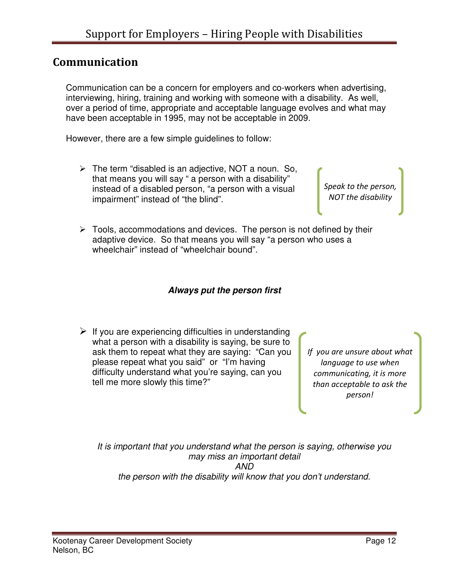## Communication

Communication can be a concern for employers and co-workers when advertising, interviewing, hiring, training and working with someone with a disability. As well, over a period of time, appropriate and acceptable language evolves and what may have been acceptable in 1995, may not be acceptable in 2009.

However, there are a few simple guidelines to follow:

 $\triangleright$  The term "disabled is an adjective, NOT a noun. So, that means you will say " a person with a disability" instead of a disabled person, "a person with a visual impairment" instead of "the blind".

Speak to the person, NOT the disability

 $\triangleright$  Tools, accommodations and devices. The person is not defined by their adaptive device. So that means you will say "a person who uses a wheelchair" instead of "wheelchair bound".

#### **Always put the person first**

 $\triangleright$  If you are experiencing difficulties in understanding what a person with a disability is saying, be sure to ask them to repeat what they are saying: "Can you please repeat what you said" or "I'm having difficulty understand what you're saying, can you tell me more slowly this time?"

If you are unsure about what language to use when communicating, it is more than acceptable to ask the person!

It is important that you understand what the person is saying, otherwise you may miss an important detail AND the person with the disability will know that you don't understand.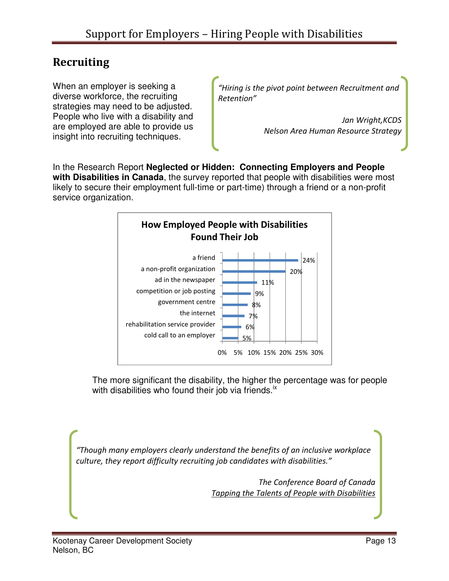## Recruiting

When an employer is seeking a diverse workforce, the recruiting strategies may need to be adjusted. People who live with a disability and are employed are able to provide us insight into recruiting techniques.

"Hiring is the pivot point between Recruitment and Retention"

> Jan Wright, KCDS Nelson Area Human Resource Strategy

In the Research Report **Neglected or Hidden: Connecting Employers and People with Disabilities in Canada**, the survey reported that people with disabilities were most likely to secure their employment full-time or part-time) through a friend or a non-profit service organization.



The more significant the disability, the higher the percentage was for people with disabilities who found their job via friends.<sup>ix</sup>

"Though many employers clearly understand the benefits of an inclusive workplace culture, they report difficulty recruiting job candidates with disabilities."

> The Conference Board of Canada Tapping the Talents of People with Disabilities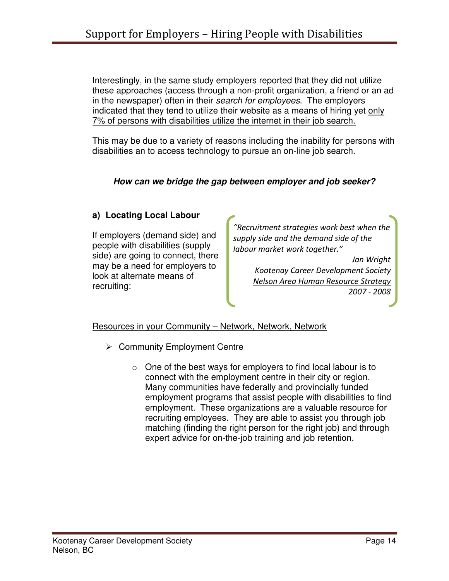Interestingly, in the same study employers reported that they did not utilize these approaches (access through a non-profit organization, a friend or an ad in the newspaper) often in their search for employees. The employers indicated that they tend to utilize their website as a means of hiring yet only 7% of persons with disabilities utilize the internet in their job search.

This may be due to a variety of reasons including the inability for persons with disabilities an to access technology to pursue an on-line job search.

#### **How can we bridge the gap between employer and job seeker?**

#### **a) Locating Local Labour**

If employers (demand side) and people with disabilities (supply side) are going to connect, there may be a need for employers to look at alternate means of recruiting:

"Recruitment strategies work best when the supply side and the demand side of the labour market work together."

> Jan Wright Kootenay Career Development Society Nelson Area Human Resource Strategy 2007 - 2008

#### Resources in your Community - Network, Network, Network

- $\triangleright$  Community Employment Centre
	- $\circ$  One of the best ways for employers to find local labour is to connect with the employment centre in their city or region. Many communities have federally and provincially funded employment programs that assist people with disabilities to find employment. These organizations are a valuable resource for recruiting employees. They are able to assist you through job matching (finding the right person for the right job) and through expert advice for on-the-job training and job retention.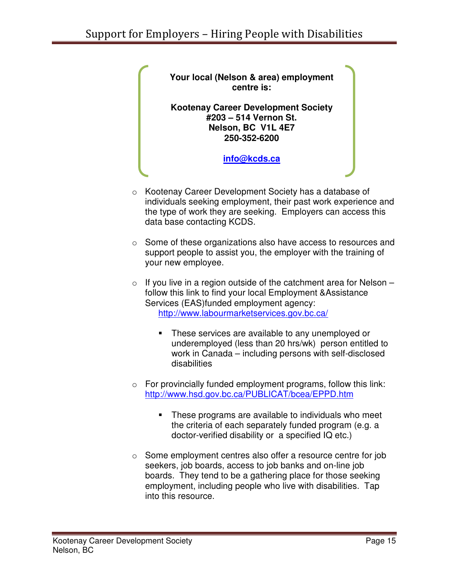o Kootenay Career Development Society has a database of individuals seeking employment, their past work experience and the type of work they are seeking. Employers can access this data base contacting KCDS. o Some of these organizations also have access to resources and support people to assist you, the employer with the training of your new employee.  $\circ$  If you live in a region outside of the catchment area for Nelson – follow this link to find your local Employment &Assistance Services (EAS)funded employment agency: http://www.labourmarketservices.gov.bc.ca/ - These services are available to any unemployed or underemployed (less than 20 hrs/wk) person entitled to work in Canada – including persons with self-disclosed disabilities  $\circ$  For provincially funded employment programs, follow this link: http://www.hsd.gov.bc.ca/PUBLICAT/bcea/EPPD.htm - These programs are available to individuals who meet the criteria of each separately funded program (e.g. a doctor-verified disability or a specified IQ etc.) **Your local (Nelson & area) employment centre is: Kootenay Career Development Society #203 – 514 Vernon St. Nelson, BC V1L 4E7 250-352-6200 info@kcds.ca**

o Some employment centres also offer a resource centre for job seekers, job boards, access to job banks and on-line job boards. They tend to be a gathering place for those seeking employment, including people who live with disabilities. Tap into this resource.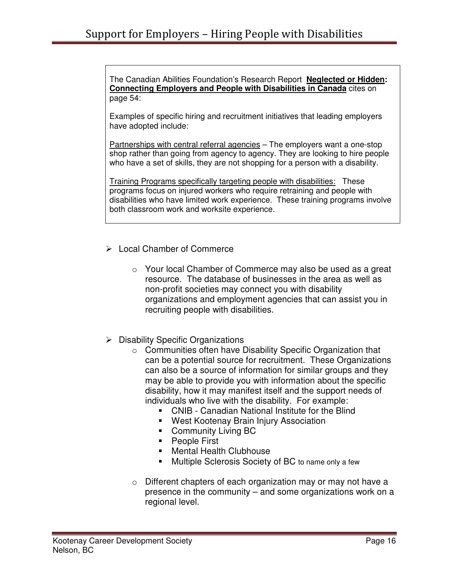The Canadian Abilities Foundation's Research Report **Neglected or Hidden: Connecting Employers and People with Disabilities in Canada** cites on page 54:

Examples of specific hiring and recruitment initiatives that leading employers have adopted include:

Partnerships with central referral agencies – The employers want a one-stop shop rather than going from agency to agency. They are looking to hire people who have a set of skills, they are not shopping for a person with a disability.

Training Programs specifically targeting people with disabilities: These programs focus on injured workers who require retraining and people with disabilities who have limited work experience. These training programs involve both classroom work and worksite experience.

- Local Chamber of Commerce
	- o Your local Chamber of Commerce may also be used as a great resource. The database of businesses in the area as well as non-profit societies may connect you with disability organizations and employment agencies that can assist you in recruiting people with disabilities.
- $\triangleright$  Disability Specific Organizations
	- o Communities often have Disability Specific Organization that can be a potential source for recruitment. These Organizations can also be a source of information for similar groups and they may be able to provide you with information about the specific disability, how it may manifest itself and the support needs of individuals who live with the disability. For example:
		- CNIB Canadian National Institute for the Blind
		- West Kootenay Brain Injury Association
		- **-** Community Living BC
		- People First
		- **Mental Health Clubhouse**
		- -Multiple Sclerosis Society of BC to name only a few
	- o Different chapters of each organization may or may not have a presence in the community – and some organizations work on a regional level.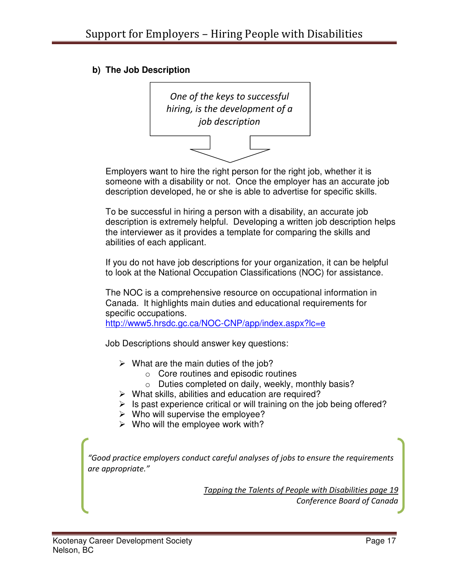#### **b) The Job Description**



Employers want to hire the right person for the right job, whether it is someone with a disability or not. Once the employer has an accurate job description developed, he or she is able to advertise for specific skills.

To be successful in hiring a person with a disability, an accurate job description is extremely helpful. Developing a written job description helps the interviewer as it provides a template for comparing the skills and abilities of each applicant.

If you do not have job descriptions for your organization, it can be helpful to look at the National Occupation Classifications (NOC) for assistance.

The NOC is a comprehensive resource on occupational information in Canada. It highlights main duties and educational requirements for specific occupations.

http://www5.hrsdc.gc.ca/NOC-CNP/app/index.aspx?lc=e

Job Descriptions should answer key questions:

- $\triangleright$  What are the main duties of the job?
	- $\circ$  Core routines and episodic routines
	- o Duties completed on daily, weekly, monthly basis?
- $\triangleright$  What skills, abilities and education are required?
- $\triangleright$  Is past experience critical or will training on the job being offered?
- $\triangleright$  Who will supervise the employee?
- $\triangleright$  Who will the employee work with?

"Good practice employers conduct careful analyses of jobs to ensure the requirements are appropriate."

> Tapping the Talents of People with Disabilities page 19 Conference Board of Canada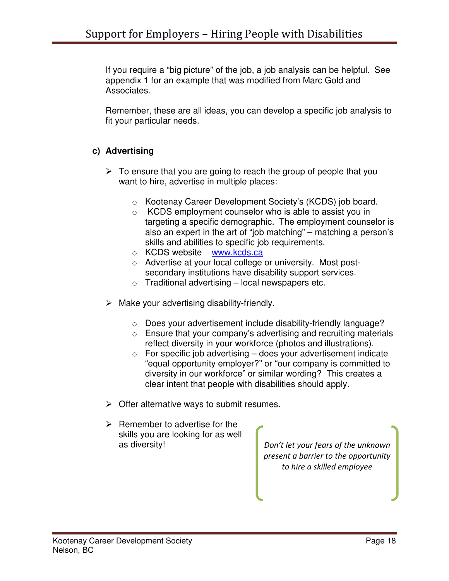If you require a "big picture" of the job, a job analysis can be helpful. See appendix 1 for an example that was modified from Marc Gold and Associates.

Remember, these are all ideas, you can develop a specific job analysis to fit your particular needs.

#### **c) Advertising**

- $\triangleright$  To ensure that you are going to reach the group of people that you want to hire, advertise in multiple places:
	- o Kootenay Career Development Society's (KCDS) job board.
	- o KCDS employment counselor who is able to assist you in targeting a specific demographic. The employment counselor is also an expert in the art of "job matching" – matching a person's skills and abilities to specific job requirements.
	- o KCDS website www.kcds.ca
	- o Advertise at your local college or university. Most postsecondary institutions have disability support services.
	- $\circ$  Traditional advertising local newspapers etc.
- $\triangleright$  Make your advertising disability-friendly.
	- o Does your advertisement include disability-friendly language?
	- o Ensure that your company's advertising and recruiting materials reflect diversity in your workforce (photos and illustrations).
	- $\circ$  For specific job advertising does your advertisement indicate "equal opportunity employer?" or "our company is committed to diversity in our workforce" or similar wording? This creates a clear intent that people with disabilities should apply.
- $\triangleright$  Offer alternative ways to submit resumes.
- $\triangleright$  Remember to advertise for the skills you are looking for as well

as diversity! and in the unknown bon't let your fears of the unknown present a barrier to the opportunity to hire a skilled employee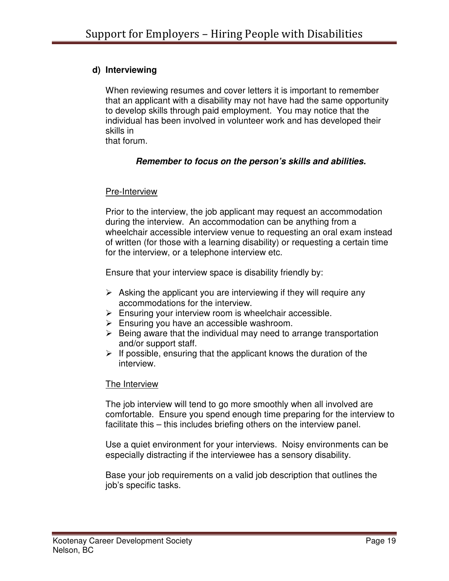#### **d) Interviewing**

When reviewing resumes and cover letters it is important to remember that an applicant with a disability may not have had the same opportunity to develop skills through paid employment. You may notice that the individual has been involved in volunteer work and has developed their skills in

that forum.

#### **Remember to focus on the person's skills and abilities.**

#### Pre-Interview

Prior to the interview, the job applicant may request an accommodation during the interview. An accommodation can be anything from a wheelchair accessible interview venue to requesting an oral exam instead of written (for those with a learning disability) or requesting a certain time for the interview, or a telephone interview etc.

Ensure that your interview space is disability friendly by:

- $\triangleright$  Asking the applicant you are interviewing if they will require any accommodations for the interview.
- $\triangleright$  Ensuring your interview room is wheelchair accessible.
- $\triangleright$  Ensuring you have an accessible washroom.
- $\triangleright$  Being aware that the individual may need to arrange transportation and/or support staff.
- $\triangleright$  If possible, ensuring that the applicant knows the duration of the interview.

#### The Interview

The job interview will tend to go more smoothly when all involved are comfortable. Ensure you spend enough time preparing for the interview to facilitate this – this includes briefing others on the interview panel.

Use a quiet environment for your interviews. Noisy environments can be especially distracting if the interviewee has a sensory disability.

Base your job requirements on a valid job description that outlines the job's specific tasks.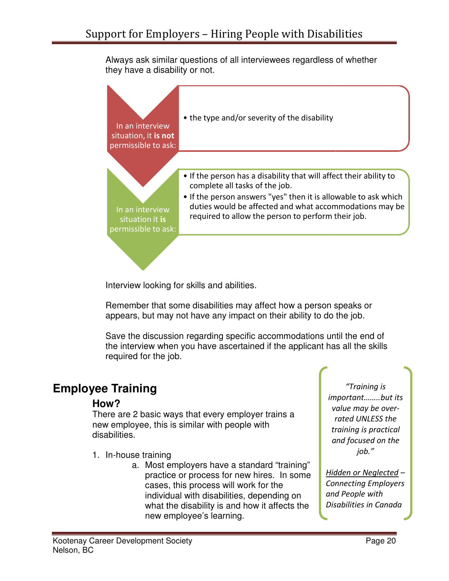Always ask similar questions of all interviewees regardless of whether they have a disability or not.



Interview looking for skills and abilities.

Remember that some disabilities may affect how a person speaks or appears, but may not have any impact on their ability to do the job.

Save the discussion regarding specific accommodations until the end of the interview when you have ascertained if the applicant has all the skills required for the job. member that some disabilities may affect how a person speaks vears, but may not have any impact on their ability to do the job.<br>
ve the discussion regarding specific accommodations until the e<br>
interview when you have asce

## **Employee Training**

#### **How?**

There are 2 basic ways that every employer trains a new employee, this is similar with people with disabilities.

- 1. In-house training
	- a. Most employers have a standard "training" Most employers have a standard "training"<br>practice or process for new hires. In some cases, this process will work for the process will work for the individual with disabilities, depending on what the disability is and how it affects the new employee's learning.

important……..but its value may be overrated UNLESS the training is practical and focused on the "Training is job."

Hidden or Neglected – Connecting Employers and People with and People with<br>Disabilities in Canada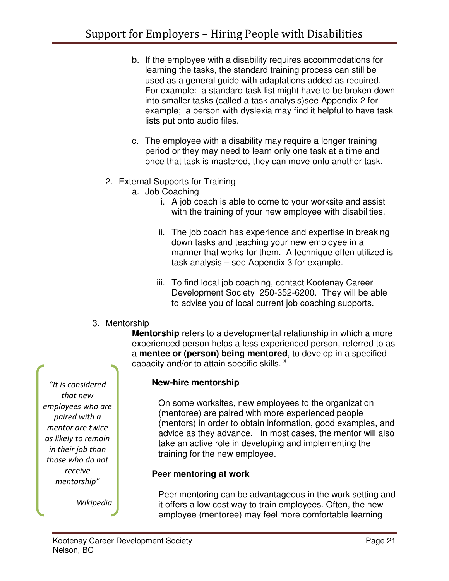- b. If the employee with a disability requires accommodations for learning the tasks, the standard training process can still be used as a general guide with adaptations added as required. For example: a standard task list might have to be broken down into smaller tasks (called a task analysis)see Appendix 2 for example; a person with dyslexia may find it helpful to have task lists put onto audio files.
- c. The employee with a disability may require a longer training period or they may need to learn only one task at a time and once that task is mastered, they can move onto another task.
- 2. External Supports for Training
	- a. Job Coaching
		- i. A job coach is able to come to your worksite and assist with the training of your new employee with disabilities.
		- ii. The job coach has experience and expertise in breaking down tasks and teaching your new employee in a manner that works for them. A technique often utilized is task analysis – see Appendix 3 for example.
		- iii. To find local job coaching, contact Kootenay Career Development Society 250-352-6200. They will be able to advise you of local current job coaching supports.
- 3. Mentorship

**Mentorship** refers to a developmental relationship in which a more experienced person helps a less experienced person, referred to as a **mentee or (person) being mentored**, to develop in a specified capacity and/or to attain specific skills.  $x$ 

"It is considered that new employees who are paired with a mentor are twice as likely to remain in their job than those who do not receive mentorship"

Wikipedia

#### **New-hire mentorship**

On some worksites, new employees to the organization (mentoree) are paired with more experienced people (mentors) in order to obtain information, good examples, and advice as they advance. In most cases, the mentor will also take an active role in developing and implementing the training for the new employee.

#### **Peer mentoring at work**

Peer mentoring can be advantageous in the work setting and it offers a low cost way to train employees. Often, the new employee (mentoree) may feel more comfortable learning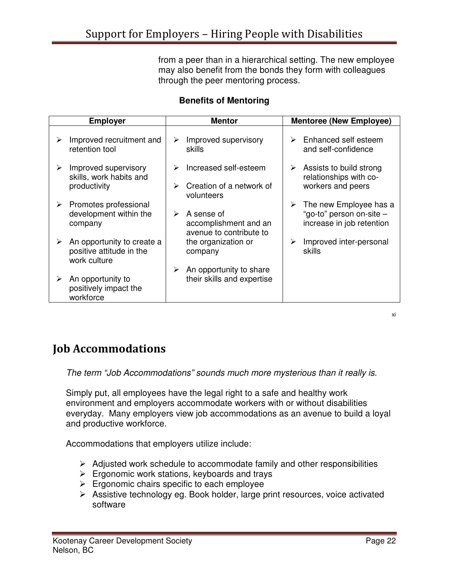from a peer than in a hierarchical setting. The new employee may also benefit from the bonds they form with colleagues through the peer mentoring process.

#### **Benefits of Mentoring**

|   | <b>Employer</b>                                                        |        | <b>Mentor</b>                                                   |   | <b>Mentoree (New Employee)</b>                                                  |
|---|------------------------------------------------------------------------|--------|-----------------------------------------------------------------|---|---------------------------------------------------------------------------------|
| ≻ | Improved recruitment and<br>retention tool                             | ➤      | Improved supervisory<br>skills                                  | ⋗ | Enhanced self esteem<br>and self-confidence                                     |
| ➤ | Improved supervisory<br>skills, work habits and<br>productivity        | ≻<br>⋗ | Increased self-esteem<br>Creation of a network of<br>volunteers | ➤ | Assists to build strong<br>relationships with co-<br>workers and peers          |
| ➤ | Promotes professional<br>development within the<br>company             | ⋗      | A sense of<br>accomplishment and an<br>avenue to contribute to  | ➤ | The new Employee has a<br>"go-to" person on-site -<br>increase in job retention |
| ➤ | An opportunity to create a<br>positive attitude in the<br>work culture |        | the organization or<br>company                                  | ➤ | Improved inter-personal<br>skills                                               |
| ➤ | An opportunity to<br>positively impact the<br>workforce                | ≻      | An opportunity to share<br>their skills and expertise           |   |                                                                                 |

xi

## Job Accommodations

The term "Job Accommodations" sounds much more mysterious than it really is.

Simply put, all employees have the legal right to a safe and healthy work environment and employers accommodate workers with or without disabilities everyday. Many employers view job accommodations as an avenue to build a loyal and productive workforce.

Accommodations that employers utilize include:

- $\triangleright$  Adjusted work schedule to accommodate family and other responsibilities
- $\triangleright$  Ergonomic work stations, keyboards and trays
- $\triangleright$  Ergonomic chairs specific to each employee
- Assistive technology eg. Book holder, large print resources, voice activated software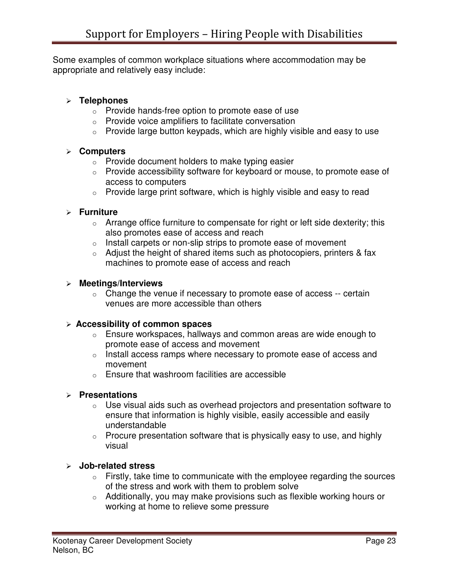Some examples of common workplace situations where accommodation may be appropriate and relatively easy include:

#### **Telephones**

- o Provide hands-free option to promote ease of use
- o Provide voice amplifiers to facilitate conversation
- $\circ$  Provide large button keypads, which are highly visible and easy to use

#### **Computers**

- $\circ$  Provide document holders to make typing easier
- o Provide accessibility software for keyboard or mouse, to promote ease of access to computers
- o Provide large print software, which is highly visible and easy to read

#### **Furniture**

- $\circ$  Arrange office furniture to compensate for right or left side dexterity; this also promotes ease of access and reach
- o Install carpets or non-slip strips to promote ease of movement
- $\circ$  Adjust the height of shared items such as photocopiers, printers & fax machines to promote ease of access and reach

#### **Meetings/Interviews**

 $\circ$  Change the venue if necessary to promote ease of access -- certain venues are more accessible than others

#### **Accessibility of common spaces**

- $\circ$  Ensure workspaces, hallways and common areas are wide enough to promote ease of access and movement
- o Install access ramps where necessary to promote ease of access and movement
- o Ensure that washroom facilities are accessible

#### **Presentations**

- $\circ$  Use visual aids such as overhead projectors and presentation software to ensure that information is highly visible, easily accessible and easily understandable
- $\circ$  Procure presentation software that is physically easy to use, and highly visual

#### **Job-related stress**

- $\circ$  Firstly, take time to communicate with the employee regarding the sources of the stress and work with them to problem solve
- o Additionally, you may make provisions such as flexible working hours or working at home to relieve some pressure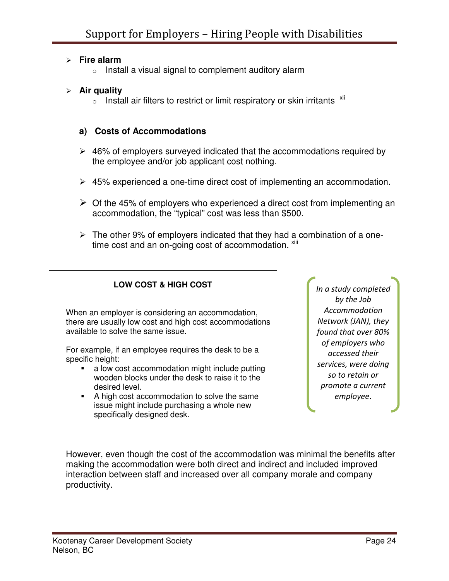#### **Fire alarm**

 $\circ$  Install a visual signal to complement auditory alarm

#### **Air quality**

 $\circ$  Install air filters to restrict or limit respiratory or skin irritants  $\frac{x}{10}$ 

#### **a) Costs of Accommodations**

- $\geq$  46% of employers surveyed indicated that the accommodations required by the employee and/or job applicant cost nothing.
- 45% experienced a one-time direct cost of implementing an accommodation.
- $\geq$  Of the 45% of employers who experienced a direct cost from implementing an accommodation, the "typical" cost was less than \$500.
- $\triangleright$  The other 9% of employers indicated that they had a combination of a onetime cost and an on-going cost of accommodation.  $x$ <sup>iii</sup>

![](_page_23_Figure_10.jpeg)

In a study completed by the Job Accommodation Network (JAN), they found that over 80% of employers who accessed their services, were doing so to retain or promote a current employee.

However, even though the cost of the accommodation was minimal the benefits after making the accommodation were both direct and indirect and included improved interaction between staff and increased over all company morale and company productivity.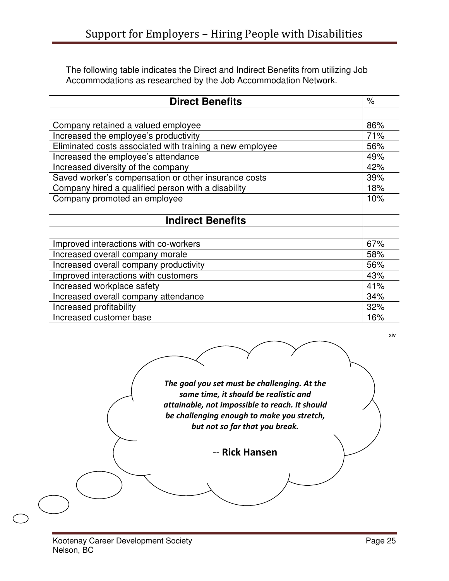The following table indicates the Direct and Indirect Benefits from utilizing Job Accommodations as researched by the Job Accommodation Network.

| <b>Direct Benefits</b>                                   | $\%$ |
|----------------------------------------------------------|------|
|                                                          |      |
| Company retained a valued employee                       | 86%  |
| Increased the employee's productivity                    | 71%  |
| Eliminated costs associated with training a new employee | 56%  |
| Increased the employee's attendance                      | 49%  |
| Increased diversity of the company                       | 42%  |
| Saved worker's compensation or other insurance costs     | 39%  |
| Company hired a qualified person with a disability       | 18%  |
| Company promoted an employee                             | 10%  |
|                                                          |      |
| <b>Indirect Benefits</b>                                 |      |
|                                                          |      |
| Improved interactions with co-workers                    | 67%  |
| Increased overall company morale                         | 58%  |
| Increased overall company productivity                   | 56%  |
| Improved interactions with customers                     | 43%  |
| Increased workplace safety                               | 41%  |
| Increased overall company attendance                     | 34%  |
| Increased profitability                                  | 32%  |
| Increased customer base                                  | 16%  |

xiv

The goal you set must be challenging. At the same time, it should be realistic and attainable, not impossible to reach. It should be challenging enough to make you stretch, but not so far that you break. -- Rick Hansen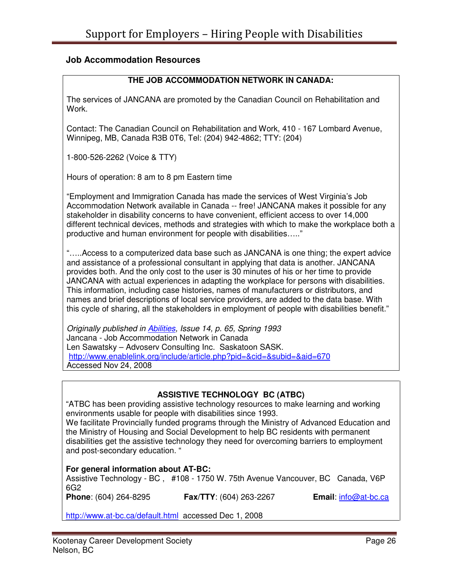#### **Job Accommodation Resources**

#### **THE JOB ACCOMMODATION NETWORK IN CANADA:**

The services of JANCANA are promoted by the Canadian Council on Rehabilitation and Work.

Contact: The Canadian Council on Rehabilitation and Work, 410 - 167 Lombard Avenue, Winnipeg, MB, Canada R3B 0T6, Tel: (204) 942-4862; TTY: (204)

1-800-526-2262 (Voice & TTY)

Hours of operation: 8 am to 8 pm Eastern time

"Employment and Immigration Canada has made the services of West Virginia's Job Accommodation Network available in Canada -- free! JANCANA makes it possible for any stakeholder in disability concerns to have convenient, efficient access to over 14,000 different technical devices, methods and strategies with which to make the workplace both a productive and human environment for people with disabilities….."

"…..Access to a computerized data base such as JANCANA is one thing; the expert advice and assistance of a professional consultant in applying that data is another. JANCANA provides both. And the only cost to the user is 30 minutes of his or her time to provide JANCANA with actual experiences in adapting the workplace for persons with disabilities. This information, including case histories, names of manufacturers or distributors, and names and brief descriptions of local service providers, are added to the data base. With this cycle of sharing, all the stakeholders in employment of people with disabilities benefit."

Originally published in Abilities, Issue 14, p. 65, Spring 1993 Jancana - Job Accommodation Network in Canada Len Sawatsky – Advoserv Consulting Inc. Saskatoon SASK. http://www.enablelink.org/include/article.php?pid=&cid=&subid=&aid=670 Accessed Nov 24, 2008

#### **ASSISTIVE TECHNOLOGY BC (ATBC)**

"ATBC has been providing assistive technology resources to make learning and working environments usable for people with disabilities since 1993.

We facilitate Provincially funded programs through the Ministry of Advanced Education and the Ministry of Housing and Social Development to help BC residents with permanent disabilities get the assistive technology they need for overcoming barriers to employment and post-secondary education. "

#### **For general information about AT-BC:**

Assistive Technology - BC , #108 - 1750 W. 75th Avenue Vancouver, BC Canada, V6P 6G2<br>**Phone**: (604) 264-8295

**Fax/TTY**: (604) 263-2267 **Email:** info@at-bc.ca

http://www.at-bc.ca/default.html accessed Dec 1, 2008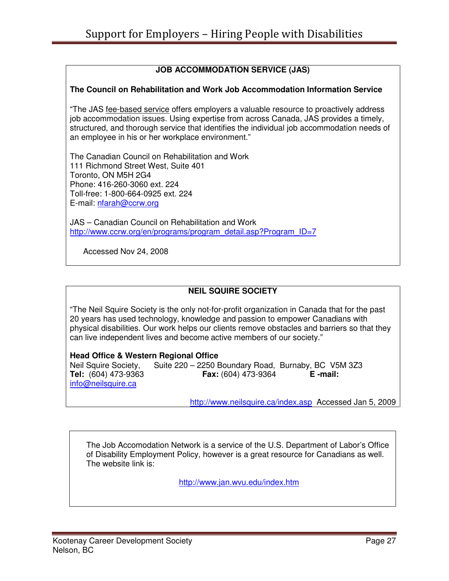#### **JOB ACCOMMODATION SERVICE (JAS)**

#### **The Council on Rehabilitation and Work Job Accommodation Information Service**

"The JAS fee-based service offers employers a valuable resource to proactively address job accommodation issues. Using expertise from across Canada, JAS provides a timely, structured, and thorough service that identifies the individual job accommodation needs of an employee in his or her workplace environment."

The Canadian Council on Rehabilitation and Work 111 Richmond Street West, Suite 401 Toronto, ON M5H 2G4 Phone: 416-260-3060 ext. 224 Toll-free: 1-800-664-0925 ext. 224 E-mail: nfarah@ccrw.org

JAS – Canadian Council on Rehabilitation and Work http://www.ccrw.org/en/programs/program\_detail.asp?Program\_ID=7

Accessed Nov 24, 2008

#### **NEIL SQUIRE SOCIETY**

"The Neil Squire Society is the only not-for-profit organization in Canada that for the past 20 years has used technology, knowledge and passion to empower Canadians with physical disabilities. Our work helps our clients remove obstacles and barriers so that they can live independent lives and become active members of our society."

#### **Head Office & Western Regional Office**

Neil Squire Society, Suite 220 – 2250 Boundary Road, Burnaby, BC V5M 3Z3 **Tel:** (604) 473-9363 **Fax:** (604) 473-9364 **E -mail:** info@neilsquire.ca

http://www.neilsquire.ca/index.asp Accessed Jan 5, 2009

The Job Accomodation Network is a service of the U.S. Department of Labor's Office of Disability Employment Policy, however is a great resource for Canadians as well. The website link is:

http://www.jan.wvu.edu/index.htm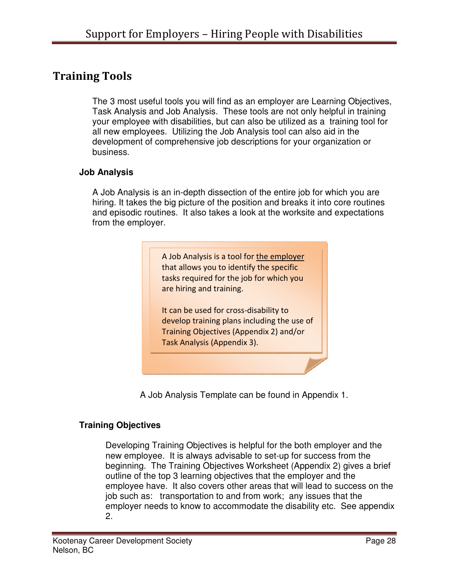## Training Tools

The 3 most useful tools you will find as an employer are Learning Objectives, Task Analysis and Job Analysis. These tools are not only helpful in training your employee with disabilities, but can also be utilized as a training tool for all new employees. Utilizing the Job Analysis tool can also aid in the development of comprehensive job descriptions for your organization or business.

#### **Job Analysis**

A Job Analysis is an in-depth dissection of the entire job for which you are hiring. It takes the big picture of the position and breaks it into core routines and episodic routines. It also takes a look at the worksite and expectations from the employer.

> A Job Analysis is a tool for the employer that allows you to identify the specific tasks required for the job for which you are hiring and training. It can be used for cross-disability to develop training plans including the use of Training Objectives (Appendix 2) and/or Task Analysis (Appendix 3).

A Job Analysis Template can be found in Appendix 1.

#### **Training Objectives**

Developing Training Objectives is helpful for the both employer and the new employee. It is always advisable to set-up for success from the beginning. The Training Objectives Worksheet (Appendix 2) gives a brief outline of the top 3 learning objectives that the employer and the employee have. It also covers other areas that will lead to success on the job such as: transportation to and from work; any issues that the employer needs to know to accommodate the disability etc. See appendix 2.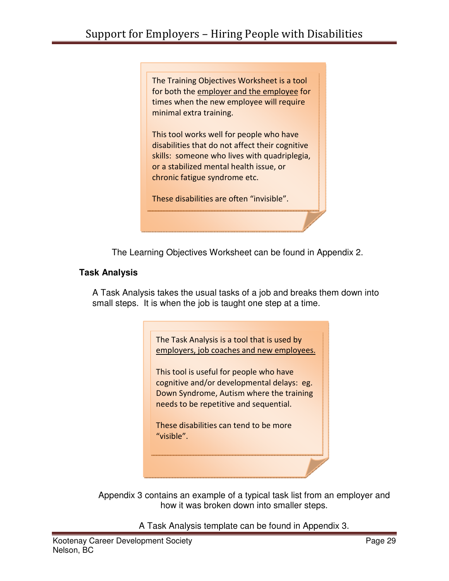The Training Objectives Worksheet is a tool for both the employer and the employee for times when the new employee will require minimal extra training.

This tool works well for people who have disabilities that do not affect their cognitive skills: someone who lives with quadriplegia, or a stabilized mental health issue, or chronic fatigue syndrome etc.

These disabilities are often "invisible".

The Learning Objectives Worksheet can be found in Appendix 2.

#### **Task Analysis**

A Task Analysis takes the usual tasks of a job and breaks them down into small steps. It is when the job is taught one step at a time.

> The Task Analysis is a tool that is used by employers, job coaches and new employees.

This tool is useful for people who have cognitive and/or developmental delays: eg. Down Syndrome, Autism where the training needs to be repetitive and sequential.

These disabilities can tend to be more "visible".

Appendix 3 contains an example of a typical task list from an employer and how it was broken down into smaller steps.

A Task Analysis template can be found in Appendix 3.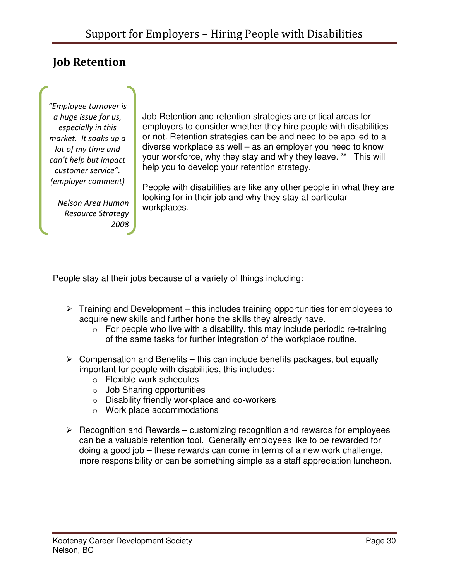## Job Retention

"Employee turnover is a huge issue for us, especially in this market. It soaks up a lot of my time and can't help but impact customer service". (employer comment)

Nelson Area Human Resource Strategy 2008

Job Retention and retention strategies are critical areas for employers to consider whether they hire people with disabilities or not. Retention strategies can be and need to be applied to a diverse workplace as well – as an employer you need to know your workforce, why they stay and why they leave. <sup>xv</sup> This will help you to develop your retention strategy.

People with disabilities are like any other people in what they are looking for in their job and why they stay at particular workplaces.

People stay at their jobs because of a variety of things including:

- $\triangleright$  Training and Development this includes training opportunities for employees to acquire new skills and further hone the skills they already have.
	- $\circ$  For people who live with a disability, this may include periodic re-training of the same tasks for further integration of the workplace routine.
- $\triangleright$  Compensation and Benefits this can include benefits packages, but equally important for people with disabilities, this includes:
	- o Flexible work schedules
	- $\circ$  Job Sharing opportunities
	- o Disability friendly workplace and co-workers
	- o Work place accommodations
- $\triangleright$  Recognition and Rewards customizing recognition and rewards for employees can be a valuable retention tool. Generally employees like to be rewarded for doing a good job – these rewards can come in terms of a new work challenge, more responsibility or can be something simple as a staff appreciation luncheon.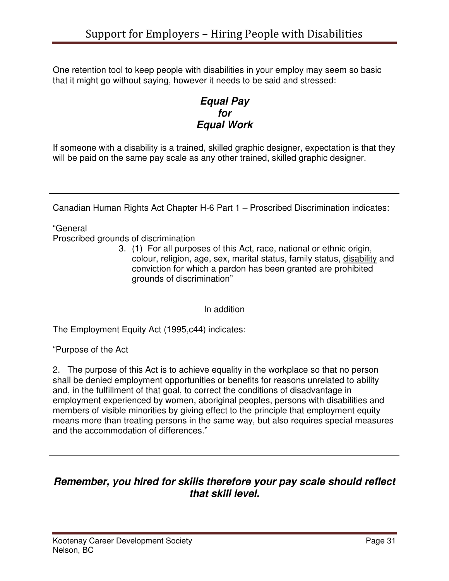One retention tool to keep people with disabilities in your employ may seem so basic that it might go without saying, however it needs to be said and stressed:

#### **Equal Pay for Equal Work**

If someone with a disability is a trained, skilled graphic designer, expectation is that they will be paid on the same pay scale as any other trained, skilled graphic designer.

Canadian Human Rights Act Chapter H-6 Part 1 – Proscribed Discrimination indicates: "General Proscribed grounds of discrimination 3. (1) For all purposes of this Act, race, national or ethnic origin, colour, religion, age, sex, marital status, family status, disability and conviction for which a pardon has been granted are prohibited grounds of discrimination" In addition The Employment Equity Act (1995,c44) indicates: "Purpose of the Act 2. The purpose of this Act is to achieve equality in the workplace so that no person shall be denied employment opportunities or benefits for reasons unrelated to ability and, in the fulfillment of that goal, to correct the conditions of disadvantage in employment experienced by women, aboriginal peoples, persons with disabilities and

members of visible minorities by giving effect to the principle that employment equity means more than treating persons in the same way, but also requires special measures and the accommodation of differences."

## **Remember, you hired for skills therefore your pay scale should reflect that skill level.**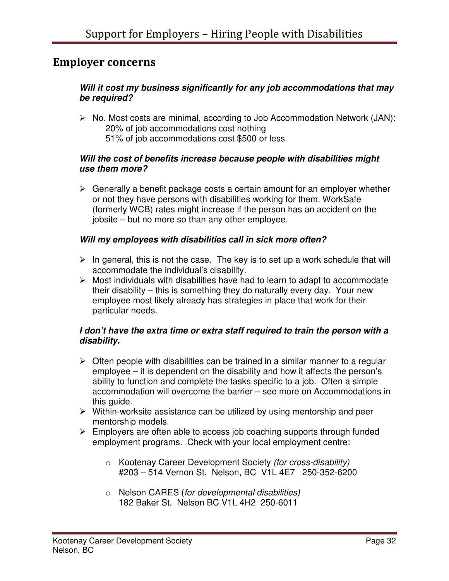## Employer concerns

#### **Will it cost my business significantly for any job accommodations that may be required?**

 $\triangleright$  No. Most costs are minimal, according to Job Accommodation Network (JAN): 20% of job accommodations cost nothing 51% of job accommodations cost \$500 or less

#### **Will the cost of benefits increase because people with disabilities might use them more?**

 $\triangleright$  Generally a benefit package costs a certain amount for an employer whether or not they have persons with disabilities working for them. WorkSafe (formerly WCB) rates might increase if the person has an accident on the jobsite – but no more so than any other employee.

#### **Will my employees with disabilities call in sick more often?**

- $\triangleright$  In general, this is not the case. The key is to set up a work schedule that will accommodate the individual's disability.
- $\triangleright$  Most individuals with disabilities have had to learn to adapt to accommodate their disability – this is something they do naturally every day. Your new employee most likely already has strategies in place that work for their particular needs.

#### **I don't have the extra time or extra staff required to train the person with a disability.**

- $\triangleright$  Often people with disabilities can be trained in a similar manner to a regular employee – it is dependent on the disability and how it affects the person's ability to function and complete the tasks specific to a job. Often a simple accommodation will overcome the barrier – see more on Accommodations in this guide.
- $\triangleright$  Within-worksite assistance can be utilized by using mentorship and peer mentorship models.
- $\triangleright$  Employers are often able to access job coaching supports through funded employment programs. Check with your local employment centre:
	- o Kootenay Career Development Society (for cross-disability) #203 – 514 Vernon St. Nelson, BC V1L 4E7 250-352-6200
	- o Nelson CARES (for developmental disabilities) 182 Baker St. Nelson BC V1L 4H2 250-6011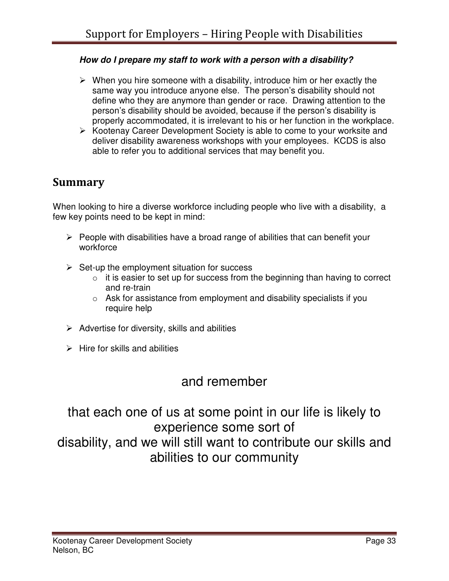#### **How do I prepare my staff to work with a person with a disability?**

- $\triangleright$  When you hire someone with a disability, introduce him or her exactly the same way you introduce anyone else. The person's disability should not define who they are anymore than gender or race. Drawing attention to the person's disability should be avoided, because if the person's disability is properly accommodated, it is irrelevant to his or her function in the workplace.
- $\triangleright$  Kootenay Career Development Society is able to come to your worksite and deliver disability awareness workshops with your employees. KCDS is also able to refer you to additional services that may benefit you.

## Summary

When looking to hire a diverse workforce including people who live with a disability, a few key points need to be kept in mind:

- $\triangleright$  People with disabilities have a broad range of abilities that can benefit your workforce
- $\triangleright$  Set-up the employment situation for success
	- $\circ$  it is easier to set up for success from the beginning than having to correct and re-train
	- $\circ$  Ask for assistance from employment and disability specialists if you require help
- $\triangleright$  Advertise for diversity, skills and abilities
- $\triangleright$  Hire for skills and abilities

## and remember

that each one of us at some point in our life is likely to experience some sort of disability, and we will still want to contribute our skills and abilities to our community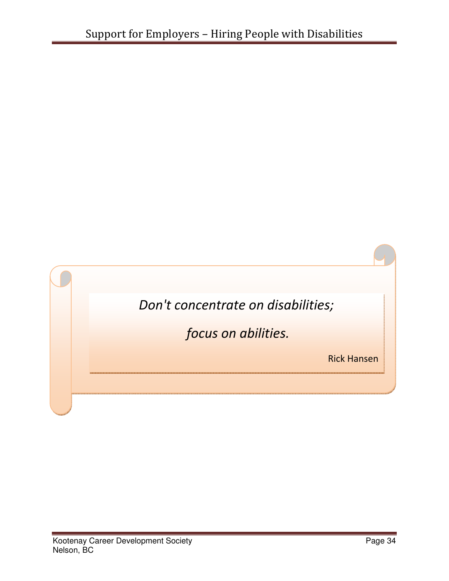![](_page_33_Picture_1.jpeg)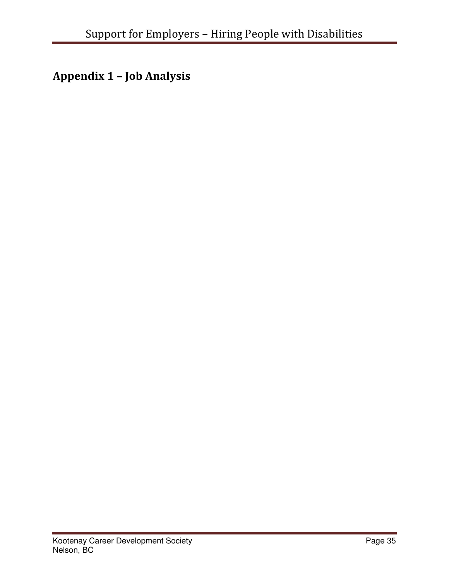Appendix 1 – Job Analysis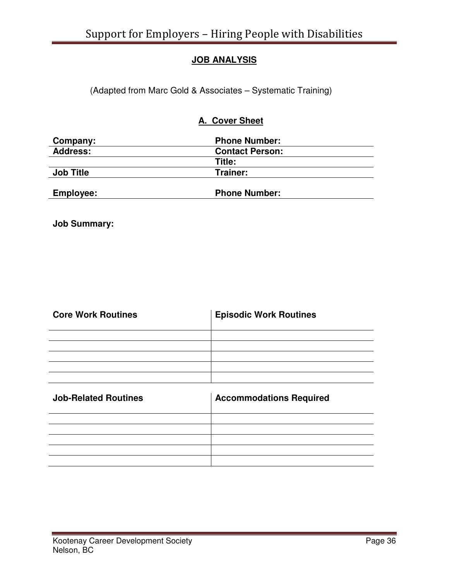#### **JOB ANALYSIS**

(Adapted from Marc Gold & Associates – Systematic Training)

#### **A. Cover Sheet**

| Company:         | <b>Phone Number:</b>   |  |
|------------------|------------------------|--|
| <b>Address:</b>  | <b>Contact Person:</b> |  |
|                  | Title:                 |  |
| <b>Job Title</b> | Trainer:               |  |
| <b>Employee:</b> | <b>Phone Number:</b>   |  |

**Job Summary:** 

| <b>Core Work Routines</b> | <b>Episodic Work Routines</b> |
|---------------------------|-------------------------------|
|                           |                               |
|                           |                               |
|                           |                               |
|                           |                               |
|                           |                               |

| <b>Job-Related Routines</b> | <b>Accommodations Required</b> |
|-----------------------------|--------------------------------|
|                             |                                |
|                             |                                |
|                             |                                |
|                             |                                |
|                             |                                |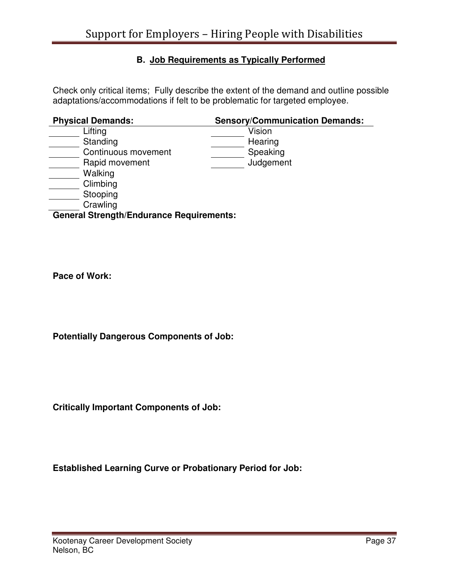#### **B. Job Requirements as Typically Performed**

Check only critical items; Fully describe the extent of the demand and outline possible adaptations/accommodations if felt to be problematic for targeted employee.

| <b>Physical Demands:</b>                        | <b>Sensory/Communication Demands:</b> |
|-------------------------------------------------|---------------------------------------|
| Lifting                                         | Vision                                |
| Standing                                        | Hearing                               |
| Continuous movement                             | Speaking                              |
| Rapid movement                                  | Judgement                             |
| Walking                                         |                                       |
| Climbing                                        |                                       |
| Stooping                                        |                                       |
| Crawling                                        |                                       |
| <b>General Strength/Endurance Requirements:</b> |                                       |

**Pace of Work:** 

**Potentially Dangerous Components of Job:** 

**Critically Important Components of Job:** 

**Established Learning Curve or Probationary Period for Job:**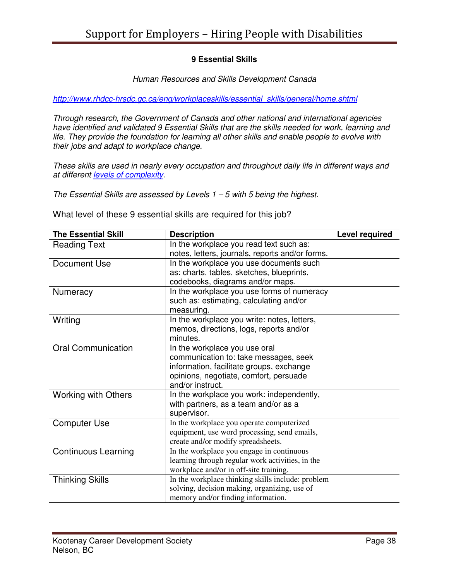#### **9 Essential Skills**

#### Human Resources and Skills Development Canada

http://www.rhdcc-hrsdc.gc.ca/eng/workplaceskills/essential\_skills/general/home.shtml

Through research, the Government of Canada and other national and international agencies have identified and validated 9 Essential Skills that are the skills needed for work, learning and life. They provide the foundation for learning all other skills and enable people to evolve with their jobs and adapt to workplace change.

These skills are used in nearly every occupation and throughout daily life in different ways and at different levels of complexity.

The Essential Skills are assessed by Levels  $1 - 5$  with 5 being the highest.

What level of these 9 essential skills are required for this job?

| <b>The Essential Skill</b> | <b>Description</b>                                | <b>Level required</b> |
|----------------------------|---------------------------------------------------|-----------------------|
| <b>Reading Text</b>        | In the workplace you read text such as:           |                       |
|                            | notes, letters, journals, reports and/or forms.   |                       |
| Document Use               | In the workplace you use documents such           |                       |
|                            | as: charts, tables, sketches, blueprints,         |                       |
|                            | codebooks, diagrams and/or maps.                  |                       |
| Numeracy                   | In the workplace you use forms of numeracy        |                       |
|                            | such as: estimating, calculating and/or           |                       |
|                            | measuring.                                        |                       |
| Writing                    | In the workplace you write: notes, letters,       |                       |
|                            | memos, directions, logs, reports and/or           |                       |
|                            | minutes.                                          |                       |
| <b>Oral Communication</b>  | In the workplace you use oral                     |                       |
|                            | communication to: take messages, seek             |                       |
|                            | information, facilitate groups, exchange          |                       |
|                            | opinions, negotiate, comfort, persuade            |                       |
|                            | and/or instruct.                                  |                       |
| <b>Working with Others</b> | In the workplace you work: independently,         |                       |
|                            | with partners, as a team and/or as a              |                       |
|                            | supervisor.                                       |                       |
| <b>Computer Use</b>        | In the workplace you operate computerized         |                       |
|                            | equipment, use word processing, send emails,      |                       |
|                            | create and/or modify spreadsheets.                |                       |
| <b>Continuous Learning</b> | In the workplace you engage in continuous         |                       |
|                            | learning through regular work activities, in the  |                       |
|                            | workplace and/or in off-site training.            |                       |
| <b>Thinking Skills</b>     | In the workplace thinking skills include: problem |                       |
|                            | solving, decision making, organizing, use of      |                       |
|                            | memory and/or finding information.                |                       |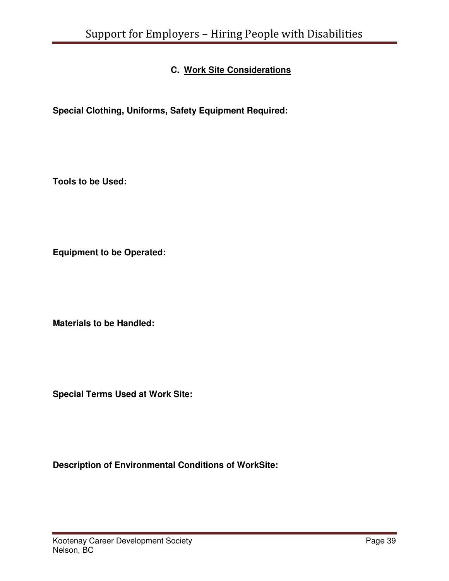## **C. Work Site Considerations**

**Special Clothing, Uniforms, Safety Equipment Required:** 

**Tools to be Used:** 

**Equipment to be Operated:** 

**Materials to be Handled:** 

**Special Terms Used at Work Site:** 

**Description of Environmental Conditions of WorkSite:**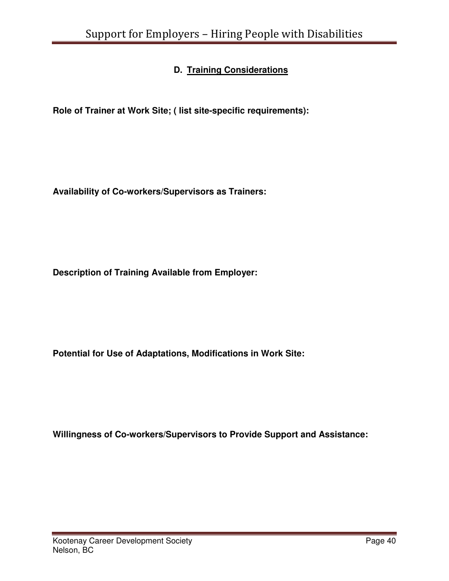## **D. Training Considerations**

**Role of Trainer at Work Site; ( list site-specific requirements):** 

**Availability of Co-workers/Supervisors as Trainers:**

**Description of Training Available from Employer:** 

**Potential for Use of Adaptations, Modifications in Work Site:** 

**Willingness of Co-workers/Supervisors to Provide Support and Assistance:**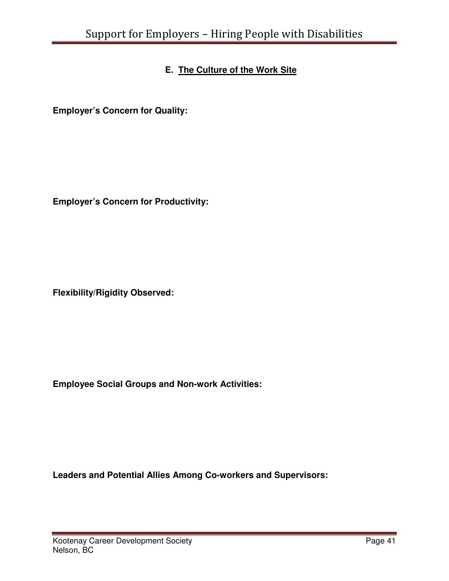## **E. The Culture of the Work Site**

**Employer's Concern for Quality:** 

**Employer's Concern for Productivity:** 

**Flexibility/Rigidity Observed:** 

**Employee Social Groups and Non-work Activities:** 

**Leaders and Potential Allies Among Co-workers and Supervisors:**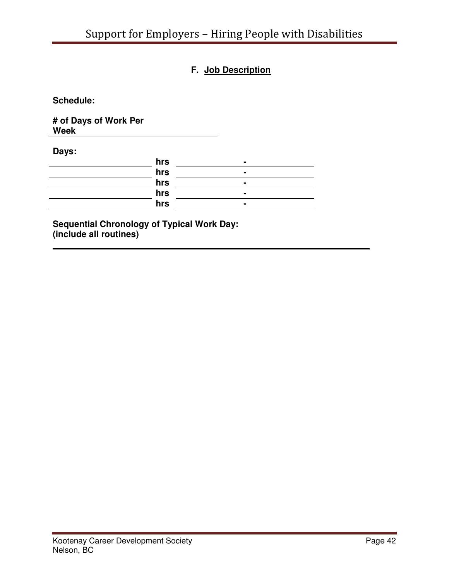## **F. Job Description**

**Schedule:** 

**# of Days of Work Per Week** 

**Days:** 

| hrs |                |
|-----|----------------|
| hrs | $\blacksquare$ |
| hrs | $\blacksquare$ |
| hrs |                |
| hrs | $\blacksquare$ |
|     |                |

**Sequential Chronology of Typical Work Day: (include all routines)**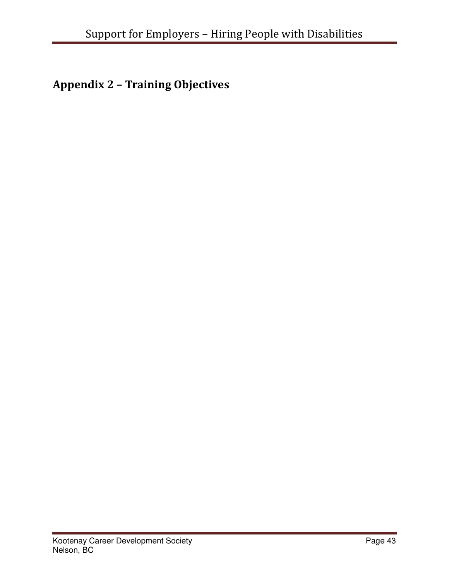## Appendix 2 – Training Objectives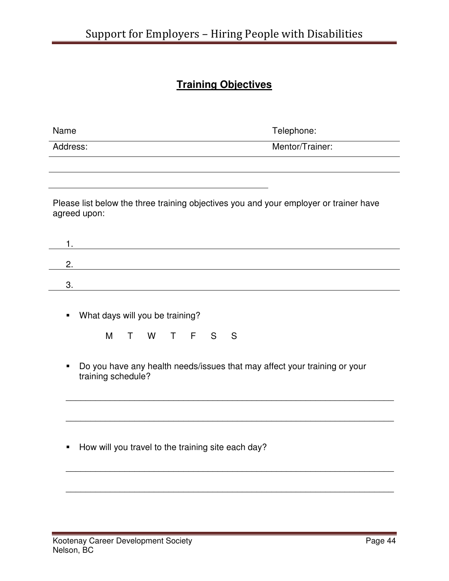## **Training Objectives**

| Name                                                                                                                        | Telephone:                                                                            |
|-----------------------------------------------------------------------------------------------------------------------------|---------------------------------------------------------------------------------------|
| Address:                                                                                                                    | Mentor/Trainer:                                                                       |
|                                                                                                                             |                                                                                       |
|                                                                                                                             |                                                                                       |
| agreed upon:                                                                                                                | Please list below the three training objectives you and your employer or trainer have |
| 1.<br><u> 1980 - Johann Stoff, deutscher Stoffen und der Stoffen und der Stoffen und der Stoffen und der Stoffen und de</u> |                                                                                       |
| 2.<br><u> 1980 - Johann Barn, mars ann an t-Amhain Aonaich an t-Aonaich an t-Aonaich ann an t-Aonaich ann an t-Aonaich</u>  |                                                                                       |
| 3.                                                                                                                          |                                                                                       |
| What days will you be training?<br>٠<br>F.<br>M<br>W<br>S<br>т<br>$\top$<br>٠<br>training schedule?                         | S<br>Do you have any health needs/issues that may affect your training or your        |
| How will you travel to the training site each day?<br>п                                                                     |                                                                                       |
|                                                                                                                             |                                                                                       |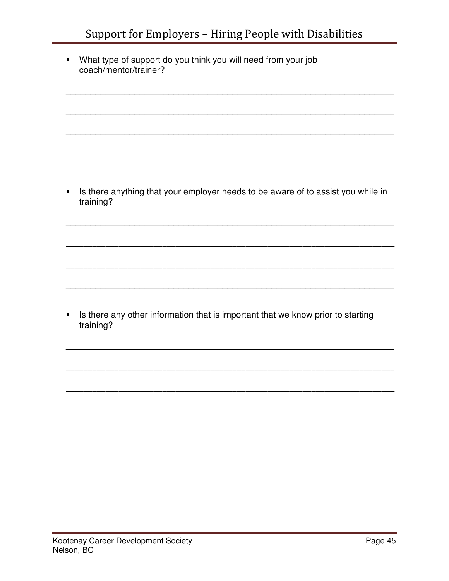• What type of support do you think you will need from your job coach/mentor/trainer?

• Is there anything that your employer needs to be aware of to assist you while in training?

• Is there any other information that is important that we know prior to starting training?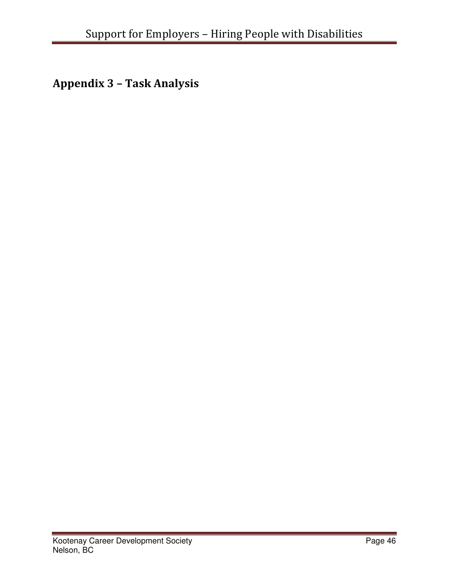Appendix 3 – Task Analysis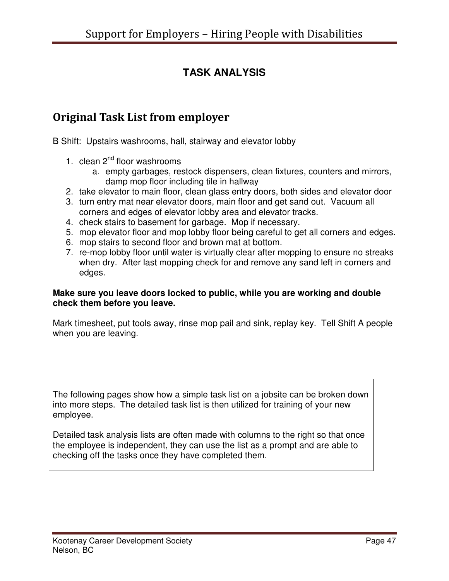## **TASK ANALYSIS**

## Original Task List from employer

B Shift: Upstairs washrooms, hall, stairway and elevator lobby

- 1. clean  $2^{nd}$  floor washrooms
	- a. empty garbages, restock dispensers, clean fixtures, counters and mirrors, damp mop floor including tile in hallway
- 2. take elevator to main floor, clean glass entry doors, both sides and elevator door
- 3. turn entry mat near elevator doors, main floor and get sand out. Vacuum all corners and edges of elevator lobby area and elevator tracks.
- 4. check stairs to basement for garbage. Mop if necessary.
- 5. mop elevator floor and mop lobby floor being careful to get all corners and edges.
- 6. mop stairs to second floor and brown mat at bottom.
- 7. re-mop lobby floor until water is virtually clear after mopping to ensure no streaks when dry. After last mopping check for and remove any sand left in corners and edges.

#### **Make sure you leave doors locked to public, while you are working and double check them before you leave.**

Mark timesheet, put tools away, rinse mop pail and sink, replay key. Tell Shift A people when you are leaving.

The following pages show how a simple task list on a jobsite can be broken down into more steps. The detailed task list is then utilized for training of your new employee.

Detailed task analysis lists are often made with columns to the right so that once the employee is independent, they can use the list as a prompt and are able to checking off the tasks once they have completed them.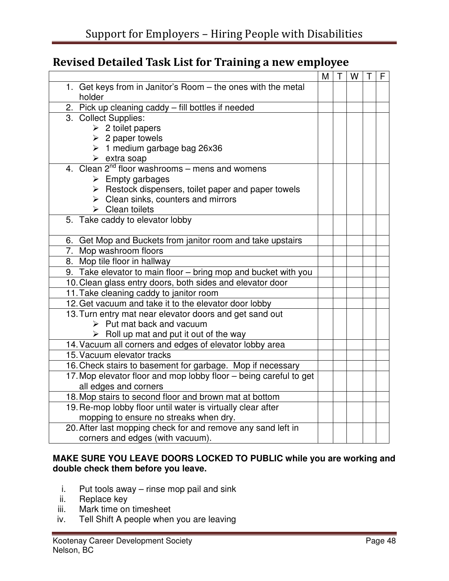## Revised Detailed Task List for Training a new employee

|                                                                    | M | T | W | F |
|--------------------------------------------------------------------|---|---|---|---|
| 1. Get keys from in Janitor's Room - the ones with the metal       |   |   |   |   |
| holder                                                             |   |   |   |   |
| 2. Pick up cleaning caddy - fill bottles if needed                 |   |   |   |   |
| 3. Collect Supplies:                                               |   |   |   |   |
| $\triangleright$ 2 toilet papers                                   |   |   |   |   |
| $\geq$ 2 paper towels                                              |   |   |   |   |
| $\geq 1$ medium garbage bag 26x36                                  |   |   |   |   |
| $\triangleright$ extra soap                                        |   |   |   |   |
| 4. Clean 2 <sup>nd</sup> floor washrooms – mens and womens         |   |   |   |   |
| $\triangleright$ Empty garbages                                    |   |   |   |   |
| $\triangleright$ Restock dispensers, toilet paper and paper towels |   |   |   |   |
| $\triangleright$ Clean sinks, counters and mirrors                 |   |   |   |   |
| $\triangleright$ Clean toilets                                     |   |   |   |   |
| 5. Take caddy to elevator lobby                                    |   |   |   |   |
|                                                                    |   |   |   |   |
| 6. Get Mop and Buckets from janitor room and take upstairs         |   |   |   |   |
| 7. Mop washroom floors                                             |   |   |   |   |
| 8. Mop tile floor in hallway                                       |   |   |   |   |
| 9. Take elevator to main floor - bring mop and bucket with you     |   |   |   |   |
| 10. Clean glass entry doors, both sides and elevator door          |   |   |   |   |
| 11. Take cleaning caddy to janitor room                            |   |   |   |   |
| 12. Get vacuum and take it to the elevator door lobby              |   |   |   |   |
| 13. Turn entry mat near elevator doors and get sand out            |   |   |   |   |
| $\triangleright$ Put mat back and vacuum                           |   |   |   |   |
| $\triangleright$ Roll up mat and put it out of the way             |   |   |   |   |
| 14. Vacuum all corners and edges of elevator lobby area            |   |   |   |   |
| 15. Vacuum elevator tracks                                         |   |   |   |   |
| 16. Check stairs to basement for garbage. Mop if necessary         |   |   |   |   |
| 17. Mop elevator floor and mop lobby floor - being careful to get  |   |   |   |   |
| all edges and corners                                              |   |   |   |   |
| 18. Mop stairs to second floor and brown mat at bottom             |   |   |   |   |
| 19. Re-mop lobby floor until water is virtually clear after        |   |   |   |   |
| mopping to ensure no streaks when dry.                             |   |   |   |   |
| 20. After last mopping check for and remove any sand left in       |   |   |   |   |
| corners and edges (with vacuum).                                   |   |   |   |   |

#### **MAKE SURE YOU LEAVE DOORS LOCKED TO PUBLIC while you are working and double check them before you leave.**

- i. Put tools away rinse mop pail and sink
- ii. Replace key
- iii. Mark time on timesheet
- iv. Tell Shift A people when you are leaving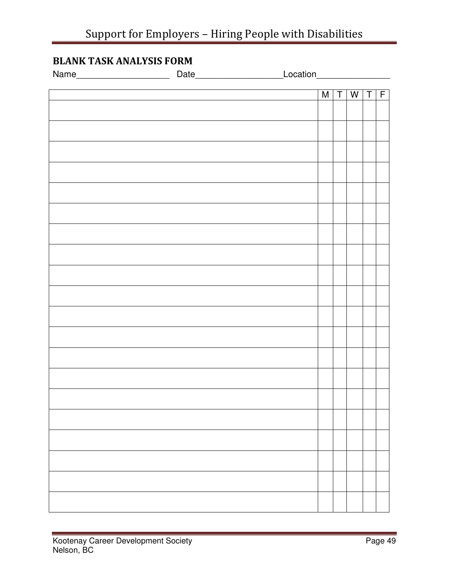## BLANK TASK ANALYSIS FORM

| Name |   |   |   |     |  |
|------|---|---|---|-----|--|
|      | M | T | W | T F |  |
|      |   |   |   |     |  |
|      |   |   |   |     |  |
|      |   |   |   |     |  |
|      |   |   |   |     |  |
|      |   |   |   |     |  |
|      |   |   |   |     |  |
|      |   |   |   |     |  |
|      |   |   |   |     |  |
|      |   |   |   |     |  |
|      |   |   |   |     |  |
|      |   |   |   |     |  |
|      |   |   |   |     |  |
|      |   |   |   |     |  |
|      |   |   |   |     |  |
|      |   |   |   |     |  |
|      |   |   |   |     |  |
|      |   |   |   |     |  |
|      |   |   |   |     |  |
|      |   |   |   |     |  |
|      |   |   |   |     |  |
|      |   |   |   |     |  |
|      |   |   |   |     |  |
|      |   |   |   |     |  |
|      |   |   |   |     |  |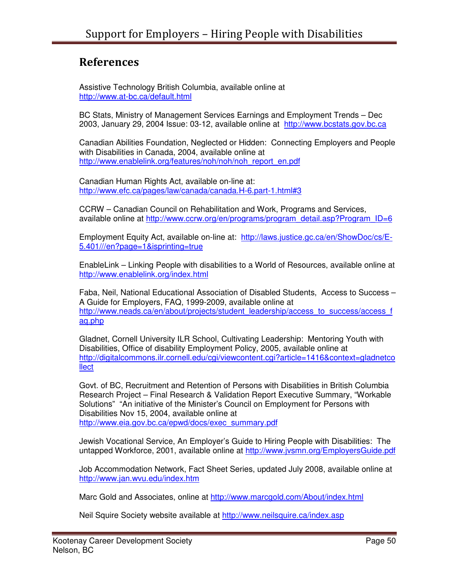## References

Assistive Technology British Columbia, available online at http://www.at-bc.ca/default.html

BC Stats, Ministry of Management Services Earnings and Employment Trends – Dec 2003, January 29, 2004 Issue: 03-12, available online at http://www.bcstats.gov.bc.ca

Canadian Abilities Foundation, Neglected or Hidden: Connecting Employers and People with Disabilities in Canada, 2004, available online at http://www.enablelink.org/features/noh/noh/noh\_report\_en.pdf

Canadian Human Rights Act, available on-line at: http://www.efc.ca/pages/law/canada/canada.H-6.part-1.html#3

CCRW – Canadian Council on Rehabilitation and Work, Programs and Services, available online at http://www.ccrw.org/en/programs/program\_detail.asp?Program\_ID=6

Employment Equity Act, available on-line at: http://laws.justice.gc.ca/en/ShowDoc/cs/E-5.401///en?page=1&isprinting=true

EnableLink – Linking People with disabilities to a World of Resources, available online at http://www.enablelink.org/index.html

Faba, Neil, National Educational Association of Disabled Students, Access to Success – A Guide for Employers, FAQ, 1999-2009, available online at http://www.neads.ca/en/about/projects/student\_leadership/access\_to\_success/access\_f aq.php

Gladnet, Cornell University ILR School, Cultivating Leadership: Mentoring Youth with Disabilities, Office of disability Employment Policy, 2005, available online at http://digitalcommons.ilr.cornell.edu/cgi/viewcontent.cgi?article=1416&context=gladnetco **llect** 

Govt. of BC, Recruitment and Retention of Persons with Disabilities in British Columbia Research Project – Final Research & Validation Report Executive Summary, "Workable Solutions" "An initiative of the Minister's Council on Employment for Persons with Disabilities Nov 15, 2004, available online at http://www.eia.gov.bc.ca/epwd/docs/exec\_summary.pdf

Jewish Vocational Service, An Employer's Guide to Hiring People with Disabilities: The untapped Workforce, 2001, available online at http://www.jvsmn.org/EmployersGuide.pdf

Job Accommodation Network, Fact Sheet Series, updated July 2008, available online at http://www.jan.wvu.edu/index.htm

Marc Gold and Associates, online at http://www.marcgold.com/About/index.html

Neil Squire Society website available at http://www.neilsquire.ca/index.asp